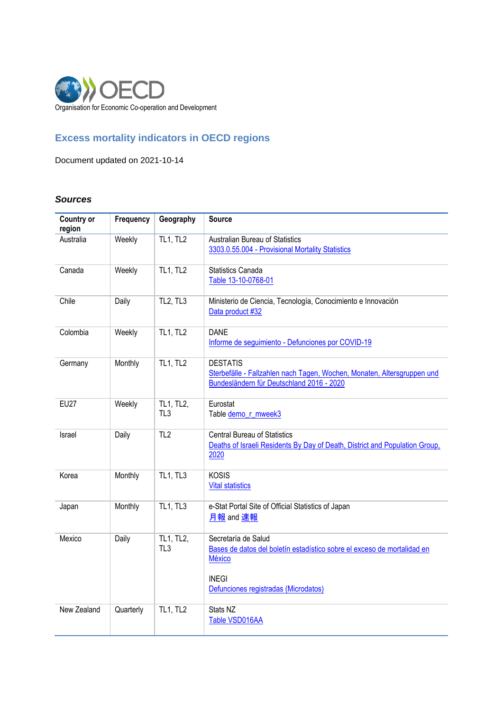

# **Excess mortality indicators in OECD regions**

Document updated on 2021-10-14

# *Sources*

| <b>Country or</b><br>region | Frequency | Geography                         | <b>Source</b>                                                                                                                                                           |
|-----------------------------|-----------|-----------------------------------|-------------------------------------------------------------------------------------------------------------------------------------------------------------------------|
| Australia                   | Weekly    | <b>TL1, TL2</b>                   | Australian Bureau of Statistics<br>3303.0.55.004 - Provisional Mortality Statistics                                                                                     |
| Canada                      | Weekly    | <b>TL1, TL2</b>                   | <b>Statistics Canada</b><br>Table 13-10-0768-01                                                                                                                         |
| Chile                       | Daily     | TL <sub>2</sub> , TL <sub>3</sub> | Ministerio de Ciencia, Tecnología, Conocimiento e Innovación<br>Data product #32                                                                                        |
| Colombia                    | Weekly    | <b>TL1, TL2</b>                   | <b>DANE</b><br>Informe de seguimiento - Defunciones por COVID-19                                                                                                        |
| Germany                     | Monthly   | <b>TL1, TL2</b>                   | <b>DESTATIS</b><br>Sterbefälle - Fallzahlen nach Tagen, Wochen, Monaten, Altersgruppen und<br>Bundesländern für Deutschland 2016 - 2020                                 |
| <b>EU27</b>                 | Weekly    | TL1, TL2,<br>TL3                  | Eurostat<br>Table demo_r_mweek3                                                                                                                                         |
| Israel                      | Daily     | TL2                               | <b>Central Bureau of Statistics</b><br>Deaths of Israeli Residents By Day of Death, District and Population Group,<br>2020                                              |
| Korea                       | Monthly   | <b>TL1, TL3</b>                   | <b>KOSIS</b><br><b>Vital statistics</b>                                                                                                                                 |
| Japan                       | Monthly   | <b>TL1, TL3</b>                   | e-Stat Portal Site of Official Statistics of Japan<br>月報 and 速報                                                                                                         |
| Mexico                      | Daily     | TL1, TL2,<br>TL <sub>3</sub>      | Secretaría de Salud<br>Bases de datos del boletín estadístico sobre el exceso de mortalidad en<br><b>México</b><br><b>INEGI</b><br>Defunciones registradas (Microdatos) |
| New Zealand                 | Quarterly | <b>TL1, TL2</b>                   | Stats NZ<br>Table VSD016AA                                                                                                                                              |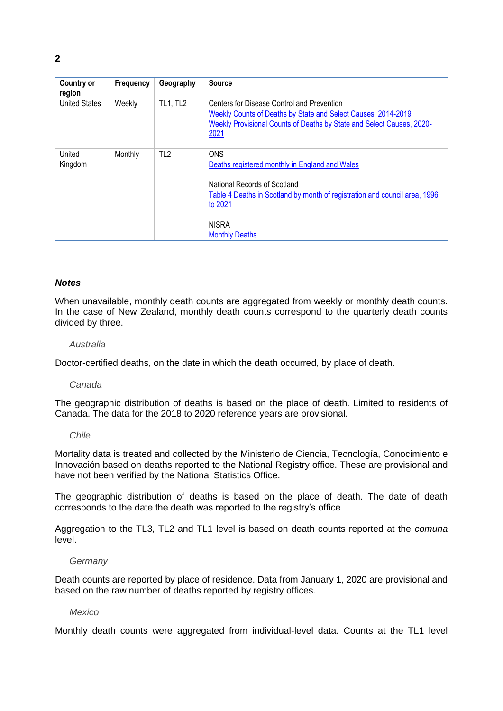| <b>Country or</b><br>region | Frequency | Geography       | <b>Source</b>                                                                                                                                                                                                                  |
|-----------------------------|-----------|-----------------|--------------------------------------------------------------------------------------------------------------------------------------------------------------------------------------------------------------------------------|
| <b>United States</b>        | Weekly    | <b>TL1, TL2</b> | Centers for Disease Control and Prevention<br>Weekly Counts of Deaths by State and Select Causes, 2014-2019<br>Weekly Provisional Counts of Deaths by State and Select Causes, 2020-<br>2021                                   |
| United<br>Kingdom           | Monthly   | TL <sub>2</sub> | <b>ONS</b><br>Deaths registered monthly in England and Wales<br>National Records of Scotland<br>Table 4 Deaths in Scotland by month of registration and council area, 1996<br>to 2021<br><b>NISRA</b><br><b>Monthly Deaths</b> |

# *Notes*

When unavailable, monthly death counts are aggregated from weekly or monthly death counts. In the case of New Zealand, monthly death counts correspond to the quarterly death counts divided by three.

#### *Australia*

Doctor-certified deaths, on the date in which the death occurred, by place of death.

#### *Canada*

The geographic distribution of deaths is based on the place of death. Limited to residents of Canada. The data for the 2018 to 2020 reference years are provisional.

#### *Chile*

Mortality data is treated and collected by the Ministerio de Ciencia, Tecnología, Conocimiento e Innovación based on deaths reported to the National Registry office. These are provisional and have not been verified by the National Statistics Office.

The geographic distribution of deaths is based on the place of death. The date of death corresponds to the date the death was reported to the registry's office.

Aggregation to the TL3, TL2 and TL1 level is based on death counts reported at the *comuna* level.

#### *Germany*

Death counts are reported by place of residence. Data from January 1, 2020 are provisional and based on the raw number of deaths reported by registry offices.

#### *Mexico*

Monthly death counts were aggregated from individual-level data. Counts at the TL1 level